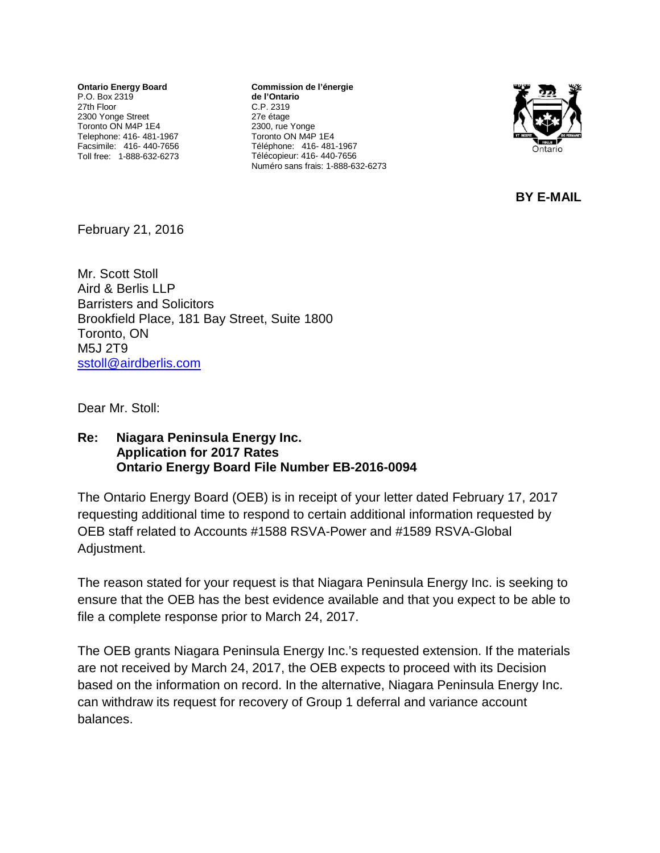**Ontario Energy Board** P.O. Box 2319 27th Floor 2300 Yonge Street Toronto ON M4P 1E4 Telephone: 416- 481-1967 Facsimile: 416- 440-7656 Toll free: 1-888-632-6273

**Commission de l'énergie de l'Ontario** C.P. 2319 27e étage 2300, rue Yonge Toronto ON M4P 1E4 Téléphone: 416- 481-1967 Télécopieur: 416- 440-7656 Numéro sans frais: 1-888-632-6273



**BY E-MAIL**

February 21, 2016

Mr. Scott Stoll Aird & Berlis LLP Barristers and Solicitors Brookfield Place, 181 Bay Street, Suite 1800 Toronto, ON M5J 2T9 [sstoll@airdberlis.com](mailto:sstoll@airdberlis.com)

Dear Mr. Stoll:

## **Re: Niagara Peninsula Energy Inc. Application for 2017 Rates Ontario Energy Board File Number EB-2016-0094**

The Ontario Energy Board (OEB) is in receipt of your letter dated February 17, 2017 requesting additional time to respond to certain additional information requested by OEB staff related to Accounts #1588 RSVA-Power and #1589 RSVA-Global Adjustment.

The reason stated for your request is that Niagara Peninsula Energy Inc. is seeking to ensure that the OEB has the best evidence available and that you expect to be able to file a complete response prior to March 24, 2017.

The OEB grants Niagara Peninsula Energy Inc.'s requested extension. If the materials are not received by March 24, 2017, the OEB expects to proceed with its Decision based on the information on record. In the alternative, Niagara Peninsula Energy Inc. can withdraw its request for recovery of Group 1 deferral and variance account balances.